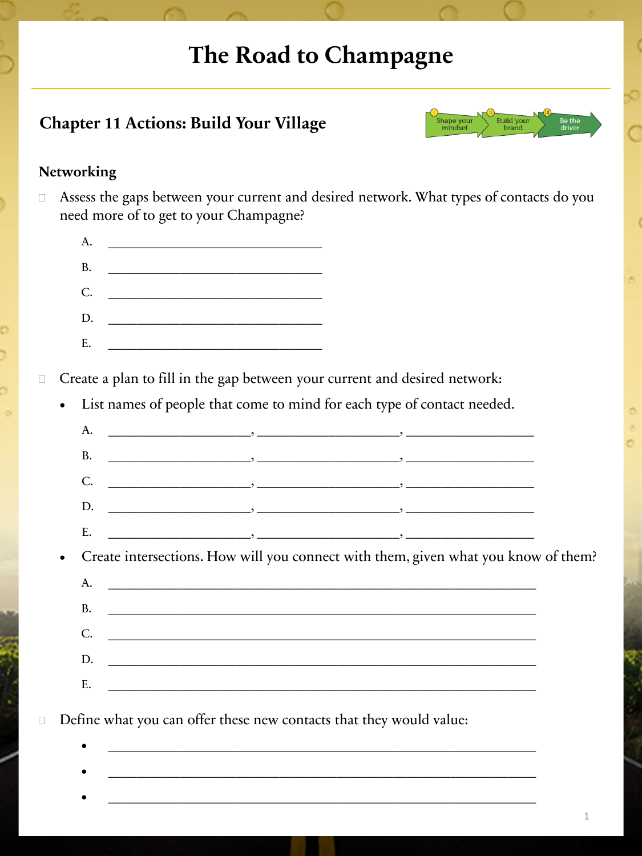## **The Road to Champagne**

### **Chapter 11 Actions: Build Your Village**



#### **Networking**

 Assess the gaps between your current and desired network. What types of contacts do you need more of to get to your Champagne?

| A.        | <u> 1999 - Johann Barbara, martin bashka</u>                                                                                                                                                                                                                                                                                                                                                                                                                      |
|-----------|-------------------------------------------------------------------------------------------------------------------------------------------------------------------------------------------------------------------------------------------------------------------------------------------------------------------------------------------------------------------------------------------------------------------------------------------------------------------|
| <b>B.</b> | $\begin{tabular}{ccccccccc} \multicolumn{2}{c }{\multicolumn{2}{c }{\multicolumn{2}{c }{\multicolumn{2}{c }{\multicolumn{2}{c }{\multicolumn{2}{c }{\multicolumn{2}{c }{\multicolumn{2}{c }{\multicolumn{2}{c }{\multicolumn{2}{c }{\multicolumn{2}{c }{\multicolumn{2}{c }{\multicolumn{2}{c }{\multicolumn{2}{c }{\multicolumn{2}{c }{\multicolumn{2}{c }{\multicolumn{2}{c }{\multicolumn{2}{c }{\multicolumn{2}{c }{\multicolumn{2}{c }{\multicolumn{2}{c }{$ |
|           | C.                                                                                                                                                                                                                                                                                                                                                                                                                                                                |
| D.        |                                                                                                                                                                                                                                                                                                                                                                                                                                                                   |
| E.        | <u> 1970 - Jan Barat III, martin d</u>                                                                                                                                                                                                                                                                                                                                                                                                                            |
|           |                                                                                                                                                                                                                                                                                                                                                                                                                                                                   |

□ Create a plan to fill in the gap between your current and desired network:

List names of people that come to mind for each type of contact needed.

| $D.$ $\qquad \qquad \qquad$ |                                                                                                                                                                                                                                            |  |
|-----------------------------|--------------------------------------------------------------------------------------------------------------------------------------------------------------------------------------------------------------------------------------------|--|
|                             | $\overline{\phantom{a}}$ , and the contract of the contract of the contract of the contract of the contract of the contract of the contract of the contract of the contract of the contract of the contract of the contract of the contrac |  |

• Create intersections. How will you connect with them, given what you know of them?

| A.                                                                                                                                                                                                                                   |
|--------------------------------------------------------------------------------------------------------------------------------------------------------------------------------------------------------------------------------------|
|                                                                                                                                                                                                                                      |
| <u>. In the second contract of the second contract of the second contract of the second contract of the second contract of the second contract of the second contract of the second contract of the second contract of the secon</u> |
| D.                                                                                                                                                                                                                                   |
|                                                                                                                                                                                                                                      |

 $\bullet$   $\qquad \qquad \bullet$   $\qquad \qquad$   $\qquad \qquad$   $\qquad \qquad$   $\qquad \qquad$   $\bullet$   $\qquad \qquad$   $\qquad \qquad$   $\bullet$   $\qquad \qquad$   $\qquad \qquad$   $\bullet$   $\qquad \qquad$   $\qquad \qquad$   $\bullet$   $\qquad \qquad$   $\bullet$   $\qquad \qquad$   $\bullet$   $\qquad \qquad$   $\bullet$   $\qquad \qquad$   $\bullet$   $\qquad \qquad$   $\bullet$   $\qquad \qquad$   $\bullet$   $\qquad \qquad$   $\$ 

 $\bullet$   $\qquad \qquad \bullet$   $\qquad \qquad$   $\qquad \qquad$   $\qquad \qquad$   $\qquad \qquad$   $\bullet$   $\qquad \qquad$   $\qquad \qquad$   $\bullet$   $\qquad \qquad$   $\qquad \qquad$   $\bullet$   $\qquad \qquad$   $\qquad \qquad$   $\bullet$   $\qquad \qquad$   $\bullet$   $\qquad \qquad$   $\bullet$   $\qquad \qquad$   $\bullet$   $\qquad \qquad$   $\bullet$   $\qquad \qquad$   $\bullet$   $\qquad \qquad$   $\bullet$   $\qquad \qquad$   $\$ 

 $\bullet$   $\qquad \qquad \bullet$   $\qquad \qquad$   $\qquad \qquad$   $\qquad \qquad$   $\qquad \qquad$   $\bullet$   $\qquad \qquad$   $\qquad \qquad$   $\bullet$   $\qquad \qquad$   $\qquad \qquad$   $\bullet$   $\qquad \qquad$   $\qquad \qquad$   $\bullet$   $\qquad \qquad$   $\bullet$   $\qquad \qquad$   $\bullet$   $\qquad \qquad$   $\bullet$   $\qquad \qquad$   $\bullet$   $\qquad \qquad$   $\bullet$   $\qquad \qquad$   $\bullet$   $\qquad \qquad$   $\$ 

Define what you can offer these new contacts that they would value:

1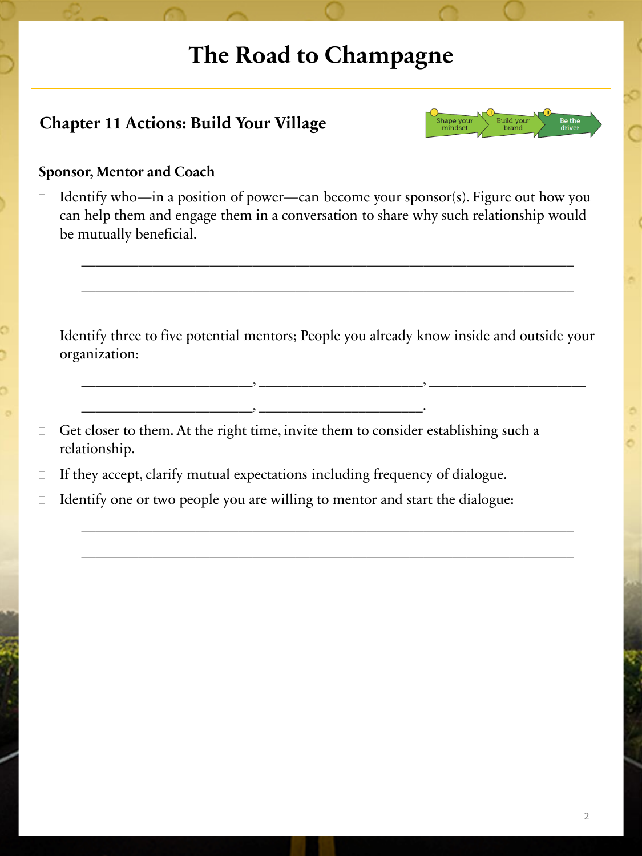# **The Road to Champagne**

### **Chapter 11 Actions: Build Your Village**



#### **Sponsor, Mentor and Coach**

 $\Box$  Identify who—in a position of power—can become your sponsor(s). Figure out how you can help them and engage them in a conversation to share why such relationship would be mutually beneficial.

\_\_\_\_\_\_\_\_\_\_\_\_\_\_\_\_\_\_\_\_\_\_\_\_\_\_\_\_\_\_\_\_\_\_\_\_\_\_\_\_\_\_\_\_\_\_\_\_\_\_\_\_\_\_\_\_\_\_\_\_\_\_\_\_\_\_\_\_\_

\_\_\_\_\_\_\_\_\_\_\_\_\_\_\_\_\_\_\_\_\_\_\_\_\_\_\_\_\_\_\_\_\_\_\_\_\_\_\_\_\_\_\_\_\_\_\_\_\_\_\_\_\_\_\_\_\_\_\_\_\_\_\_\_\_\_\_\_\_

 $\Box$  Identify three to five potential mentors; People you already know inside and outside your organization:

\_\_\_\_\_\_\_\_\_\_\_\_\_\_\_\_\_\_\_\_\_\_\_\_, \_\_\_\_\_\_\_\_\_\_\_\_\_\_\_\_\_\_\_\_\_\_\_, \_\_\_\_\_\_\_\_\_\_\_\_\_\_\_\_\_\_\_\_\_\_

 $\_$  , and the set of the set of the set of the set of the set of the set of the set of the set of the set of the set of the set of the set of the set of the set of the set of the set of the set of the set of the set of th

 $\_$  , and the set of the set of the set of the set of the set of the set of the set of the set of the set of the set of the set of the set of the set of the set of the set of the set of the set of the set of the set of th

- $\Box$  Get closer to them. At the right time, invite them to consider establishing such a relationship.
- $\Box$  If they accept, clarify mutual expectations including frequency of dialogue.

\_\_\_\_\_\_\_\_\_\_\_\_\_\_\_\_\_\_\_\_\_\_\_\_, \_\_\_\_\_\_\_\_\_\_\_\_\_\_\_\_\_\_\_\_\_\_\_.

 $\Box$  Identify one or two people you are willing to mentor and start the dialogue: